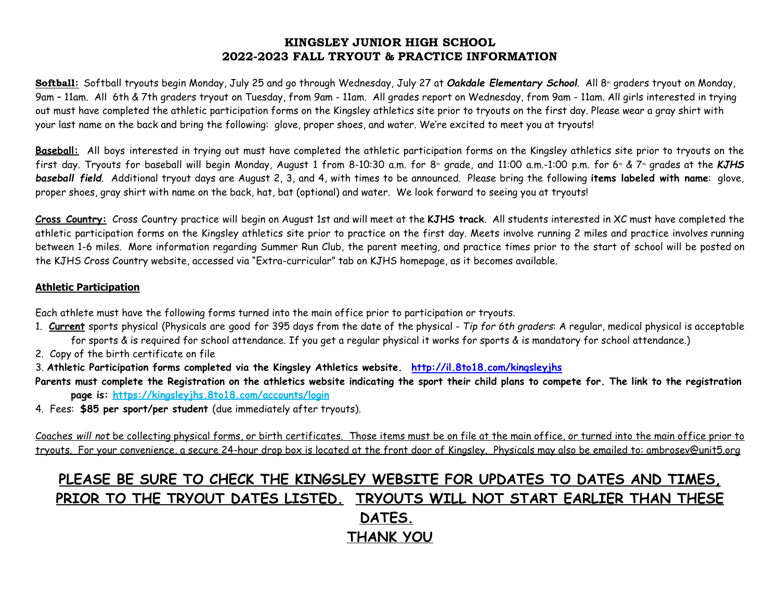### KINGSLEY JUNIOR HIGH SCHOOL 2022-2023 FALL TRYOUT & PRACTICE INFORMATION

Softball: Softball tryouts begin Monday, July 25 and go through Wednesday, July 27 at *Oakdale Elementary School*. All 8<sup>th</sup> graders tryout on Monday, 9am – 11am. All 6th & 7th graders tryout on Tuesday, from 9am - 11am. All grades report on Wednesday, from 9am - 11am. All girls interested in trying out must have completed the athletic participation forms on the Kingsley athletics site prior to tryouts on the first day. Please wear a gray shirt with your last name on the back and bring the following: glove, proper shoes, and water. We're excited to meet you at tryouts!

Baseball: All boys interested in trying out must have completed the athletic participation forms on the Kingsley athletics site prior to tryouts on the first day. Tryouts for baseball will begin Monday, August 1 from 8-10:30 a.m. for 8<sup>th</sup> grade, and 11:00 a.m.-1:00 p.m. for 6<sup>th</sup> & 7<sup>th</sup> grades at the KJHS *baseball field*. Additional tryout days are August 2, 3, and 4, with times to be announced. Please bring the following **items labeled with name**: glove, proper shoes, gray shirt with name on the back, hat, bat (optional) and water. We look forward to seeing you at tryouts!

**Cross Country:** Cross Country practice will begin on August 1st and will meet at the **KJHS track**. All students interested in XC must have completed the athletic participation forms on the Kingsley athletics site prior to practice on the first day. Meets involve running 2 miles and practice involves running between 1-6 miles. More information regarding Summer Run Club, the parent meeting, and practice times prior to the start of school will be posted on the KJHS Cross Country website, accessed via "Extra-curricular" tab on KJHS homepage, as it becomes available.

### **Athletic Participation**

Each athlete must have the following forms turned into the main office prior to participation or tryouts.

- 1. **Current** sports physical (Physicals are good for 395 days from the date of the physical *Tip for 6th graders*: A regular, medical physical is acceptable for sports & is required for school attendance. If you get a regular physical it works for sports & is mandatory for school attendance.)
- 2. Copy of the birth certificate on file
- 3. **Athletic Participation forms completed via the Kingsley Athletics website. <http://il.8to18.com/kingsleyjhs>**
- Parents must complete the Registration on the athletics website indicating the sport their child plans to compete for. The link to the registration **page is: <https://kingsleyjhs.8to18.com/accounts/login>**
- 4. Fees: **\$85 per sport/per student** (due immediately after tryouts).

Coaches *will not* be collecting physical forms, or birth certificates. Those items must be on file at the main office, or turned into the main office prior to tryouts. For your convenience, a secure 24-hour drop box is located at the front door of Kingsley. Physicals may also be emailed to: ambrosev@unit5.org

# **PLEASE BE SURE TO CHECK THE KINGSLEY WEBSITE FOR UPDATES TO DATES AND TIMES, PRIOR TO THE TRYOUT DATES LISTED. TRYOUTS WILL NOT START EARLIER THAN THESE DATES. THANK YOU**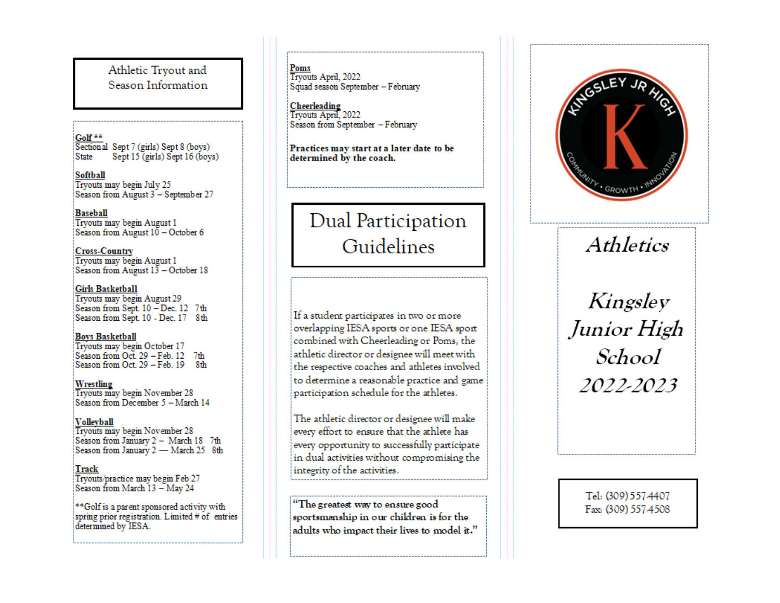### Athletic Tryout and Season Information

#### Golf<sup>\*\*</sup>

Sectional Sept 7 (girls) Sept 8 (boys) Sept 15 (girls) Sept 16 (boys) State

Softball Tryouts may begin July 25 Season from August 3 - September 27

Baseball Tryouts may begin August 1 Season from August 10 - October 6

Cross-Country Tryouts may begin August 1 Season from August 13 - October 18

#### **Girls Basketball**

Tryouts may begin August 29 Season from Sept. 10 - Dec. 12 7th Season from Sept. 10 - Dec. 17 8th

#### **Boys Basketball**

Tryouts may begin October 17 Season from Oct. 29 - Feb. 12 7th Season from Oct 29 - Feb 19 8th

Wrestling Tryouts may begin November 28 Season from December 5 - March 14

#### Vollevball

Tryouts may begin November 28 Season from January 2 - March 18 7th Season from January 2 - March 25 8th

#### Track

Tryouts/practice may begin Feb 27 Season from March 13 - May 24

\*\*Golf is a parent sponsored activity with spring prior registration. Limited # of entries determined by IESA.

Poms Tryouts April, 2022 Squad season September - February

Cheerleading Tryouts April, 2022 Season from September - February

Practices may start at a later date to be determined by the coach.

# Dual Participation Guidelines

If a student participates in two or more overlapping IESA sports or one IESA sport combined with Cheerleading or Poms, the athletic director or designee will meet with the respective coaches and athletes involved to determine a reasonable practice and game participation schedule for the athletes.

The athletic director or designee will make every effort to ensure that the athlete has every opportunity to successfully participate in dual activities without compromising the integrity of the activities.

"The greatest way to ensure good sportsmanship in our children is for the adults who impact their lives to model it."



Athletics

Kingsley Junior High School 2022-2023

> Tel: (309) 557 4407 Fax: (309) 5574508